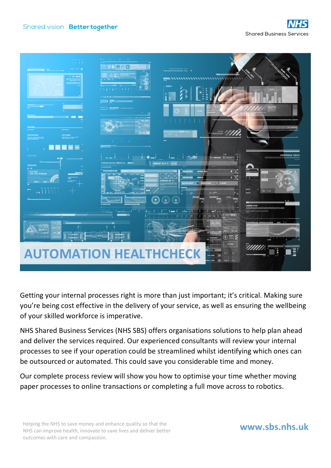

Getting your internal processes right is more than just important; it's critical. Making sure you're being cost effective in the delivery of your service, as well as ensuring the wellbeing of your skilled workforce is imperative.

NHS Shared Business Services (NHS SBS) offers organisations solutions to help plan ahead and deliver the services required. Our experienced consultants will review your internal processes to see if your operation could be streamlined whilst identifying which ones can be outsourced or automated. This could save you considerable time and money.

Our complete process review will show you how to optimise your time whether moving paper processes to online transactions or completing a full move across to robotics.

Helping the NHS to save money and enhance quality so that the NHS can improve health, innovate to save lives and deliver better outcomes with care and compassion.

## **www.sbs.nhs.uk**